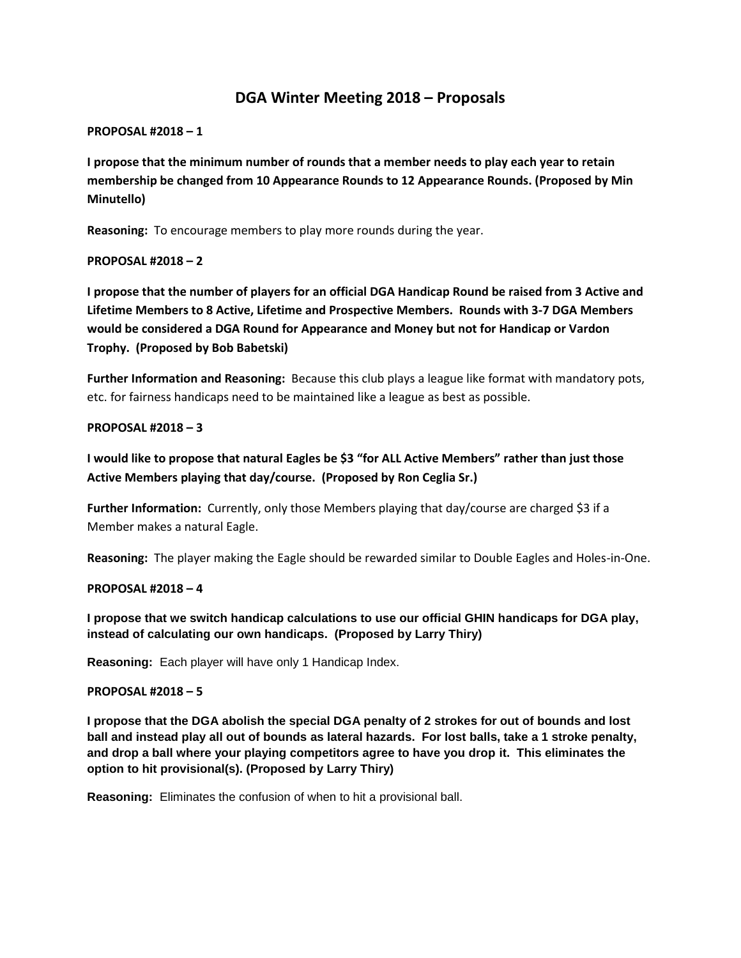# **DGA Winter Meeting 2018 – Proposals**

#### **PROPOSAL #2018 – 1**

**I propose that the minimum number of rounds that a member needs to play each year to retain membership be changed from 10 Appearance Rounds to 12 Appearance Rounds. (Proposed by Min Minutello)**

**Reasoning:** To encourage members to play more rounds during the year.

#### **PROPOSAL #2018 – 2**

**I propose that the number of players for an official DGA Handicap Round be raised from 3 Active and Lifetime Members to 8 Active, Lifetime and Prospective Members. Rounds with 3-7 DGA Members would be considered a DGA Round for Appearance and Money but not for Handicap or Vardon Trophy. (Proposed by Bob Babetski)**

**Further Information and Reasoning:** Because this club plays a league like format with mandatory pots, etc. for fairness handicaps need to be maintained like a league as best as possible.

#### **PROPOSAL #2018 – 3**

**I would like to propose that natural Eagles be \$3 "for ALL Active Members" rather than just those Active Members playing that day/course. (Proposed by Ron Ceglia Sr.)**

**Further Information:** Currently, only those Members playing that day/course are charged \$3 if a Member makes a natural Eagle.

**Reasoning:** The player making the Eagle should be rewarded similar to Double Eagles and Holes-in-One.

#### **PROPOSAL #2018 – 4**

**I propose that we switch handicap calculations to use our official GHIN handicaps for DGA play, instead of calculating our own handicaps. (Proposed by Larry Thiry)**

**Reasoning:** Each player will have only 1 Handicap Index.

#### **PROPOSAL #2018 – 5**

**I propose that the DGA abolish the special DGA penalty of 2 strokes for out of bounds and lost ball and instead play all out of bounds as lateral hazards. For lost balls, take a 1 stroke penalty, and drop a ball where your playing competitors agree to have you drop it. This eliminates the option to hit provisional(s). (Proposed by Larry Thiry)**

**Reasoning:** Eliminates the confusion of when to hit a provisional ball.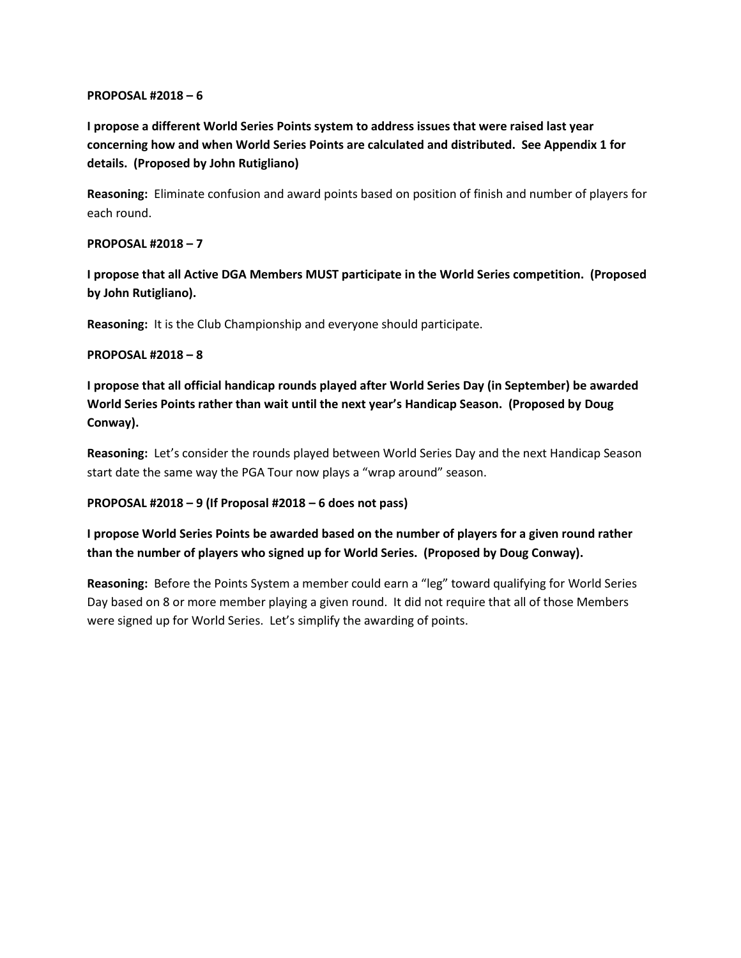#### **PROPOSAL #2018 – 6**

**I propose a different World Series Points system to address issues that were raised last year concerning how and when World Series Points are calculated and distributed. See Appendix 1 for details. (Proposed by John Rutigliano)**

**Reasoning:** Eliminate confusion and award points based on position of finish and number of players for each round.

### **PROPOSAL #2018 – 7**

**I propose that all Active DGA Members MUST participate in the World Series competition. (Proposed by John Rutigliano).**

**Reasoning:** It is the Club Championship and everyone should participate.

#### **PROPOSAL #2018 – 8**

**I propose that all official handicap rounds played after World Series Day (in September) be awarded World Series Points rather than wait until the next year's Handicap Season. (Proposed by Doug Conway).**

**Reasoning:** Let's consider the rounds played between World Series Day and the next Handicap Season start date the same way the PGA Tour now plays a "wrap around" season.

### **PROPOSAL #2018 – 9 (If Proposal #2018 – 6 does not pass)**

**I propose World Series Points be awarded based on the number of players for a given round rather than the number of players who signed up for World Series. (Proposed by Doug Conway).**

**Reasoning:** Before the Points System a member could earn a "leg" toward qualifying for World Series Day based on 8 or more member playing a given round. It did not require that all of those Members were signed up for World Series. Let's simplify the awarding of points.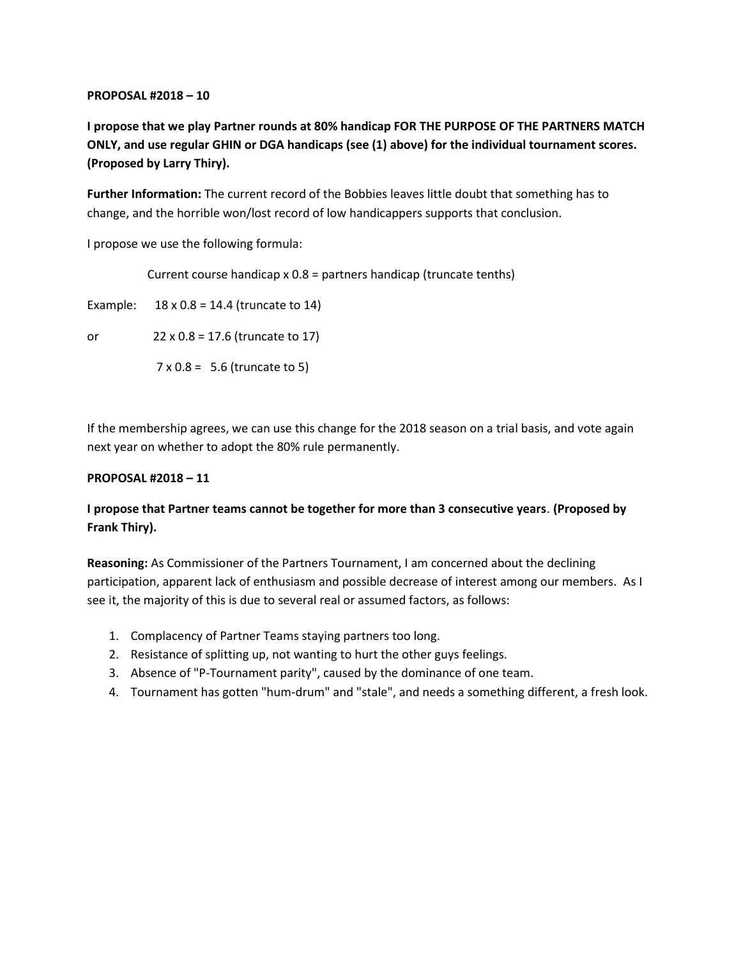#### **PROPOSAL #2018 – 10**

**I propose that we play Partner rounds at 80% handicap FOR THE PURPOSE OF THE PARTNERS MATCH ONLY, and use regular GHIN or DGA handicaps (see (1) above) for the individual tournament scores. (Proposed by Larry Thiry).**

**Further Information:** The current record of the Bobbies leaves little doubt that something has to change, and the horrible won/lost record of low handicappers supports that conclusion.

I propose we use the following formula:

Current course handicap x 0.8 = partners handicap (truncate tenths)

Example:  $18 \times 0.8 = 14.4$  (truncate to 14)

or 22 x 0.8 = 17.6 (truncate to 17)

 $7 \times 0.8 = 5.6$  (truncate to 5)

If the membership agrees, we can use this change for the 2018 season on a trial basis, and vote again next year on whether to adopt the 80% rule permanently.

### **PROPOSAL #2018 – 11**

## **I propose that Partner teams cannot be together for more than 3 consecutive years**. **(Proposed by Frank Thiry).**

**Reasoning:** As Commissioner of the Partners Tournament, I am concerned about the declining participation, apparent lack of enthusiasm and possible decrease of interest among our members. As I see it, the majority of this is due to several real or assumed factors, as follows:

- 1. Complacency of Partner Teams staying partners too long.
- 2. Resistance of splitting up, not wanting to hurt the other guys feelings.
- 3. Absence of "P-Tournament parity", caused by the dominance of one team.
- 4. Tournament has gotten "hum-drum" and "stale", and needs a something different, a fresh look.